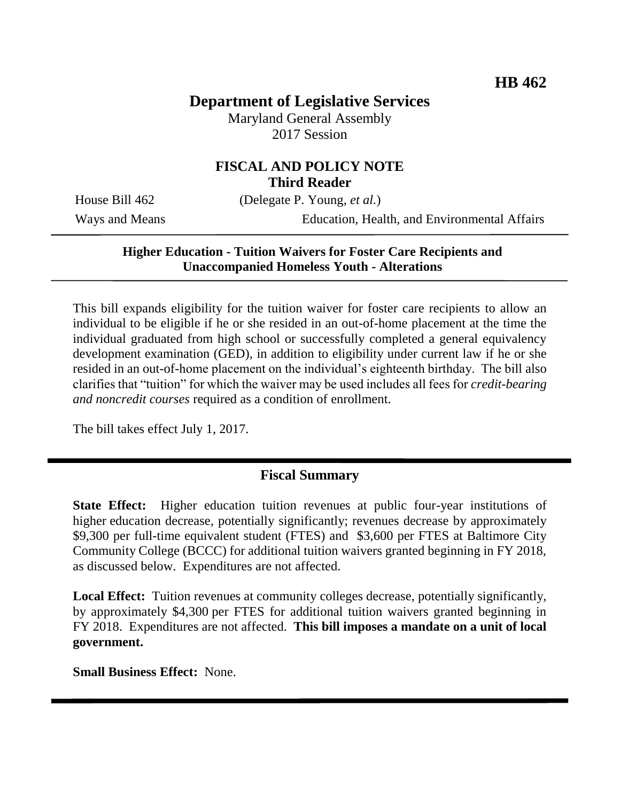# **Department of Legislative Services**

Maryland General Assembly 2017 Session

## **FISCAL AND POLICY NOTE Third Reader**

House Bill 462 (Delegate P. Young, *et al.*)

Ways and Means Education, Health, and Environmental Affairs

### **Higher Education - Tuition Waivers for Foster Care Recipients and Unaccompanied Homeless Youth - Alterations**

This bill expands eligibility for the tuition waiver for foster care recipients to allow an individual to be eligible if he or she resided in an out-of-home placement at the time the individual graduated from high school or successfully completed a general equivalency development examination (GED), in addition to eligibility under current law if he or she resided in an out-of-home placement on the individual's eighteenth birthday. The bill also clarifies that "tuition" for which the waiver may be used includes all fees for *credit-bearing and noncredit courses* required as a condition of enrollment.

The bill takes effect July 1, 2017.

## **Fiscal Summary**

**State Effect:** Higher education tuition revenues at public four-year institutions of higher education decrease, potentially significantly; revenues decrease by approximately \$9,300 per full-time equivalent student (FTES) and \$3,600 per FTES at Baltimore City Community College (BCCC) for additional tuition waivers granted beginning in FY 2018, as discussed below. Expenditures are not affected.

**Local Effect:** Tuition revenues at community colleges decrease, potentially significantly, by approximately \$4,300 per FTES for additional tuition waivers granted beginning in FY 2018. Expenditures are not affected. **This bill imposes a mandate on a unit of local government.**

**Small Business Effect:** None.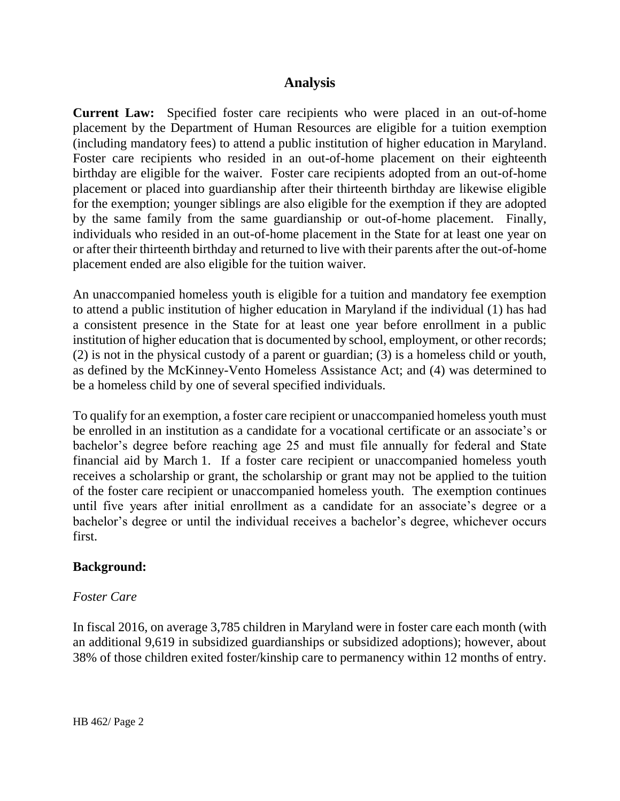### **Analysis**

**Current Law:** Specified foster care recipients who were placed in an out-of-home placement by the Department of Human Resources are eligible for a tuition exemption (including mandatory fees) to attend a public institution of higher education in Maryland. Foster care recipients who resided in an out-of-home placement on their eighteenth birthday are eligible for the waiver. Foster care recipients adopted from an out-of-home placement or placed into guardianship after their thirteenth birthday are likewise eligible for the exemption; younger siblings are also eligible for the exemption if they are adopted by the same family from the same guardianship or out-of-home placement. Finally, individuals who resided in an out-of-home placement in the State for at least one year on or after their thirteenth birthday and returned to live with their parents after the out-of-home placement ended are also eligible for the tuition waiver.

An unaccompanied homeless youth is eligible for a tuition and mandatory fee exemption to attend a public institution of higher education in Maryland if the individual (1) has had a consistent presence in the State for at least one year before enrollment in a public institution of higher education that is documented by school, employment, or other records; (2) is not in the physical custody of a parent or guardian; (3) is a homeless child or youth, as defined by the McKinney-Vento Homeless Assistance Act; and (4) was determined to be a homeless child by one of several specified individuals.

To qualify for an exemption, a foster care recipient or unaccompanied homeless youth must be enrolled in an institution as a candidate for a vocational certificate or an associate's or bachelor's degree before reaching age 25 and must file annually for federal and State financial aid by March 1. If a foster care recipient or unaccompanied homeless youth receives a scholarship or grant, the scholarship or grant may not be applied to the tuition of the foster care recipient or unaccompanied homeless youth. The exemption continues until five years after initial enrollment as a candidate for an associate's degree or a bachelor's degree or until the individual receives a bachelor's degree, whichever occurs first.

#### **Background:**

#### *Foster Care*

In fiscal 2016, on average 3,785 children in Maryland were in foster care each month (with an additional 9,619 in subsidized guardianships or subsidized adoptions); however, about 38% of those children exited foster/kinship care to permanency within 12 months of entry.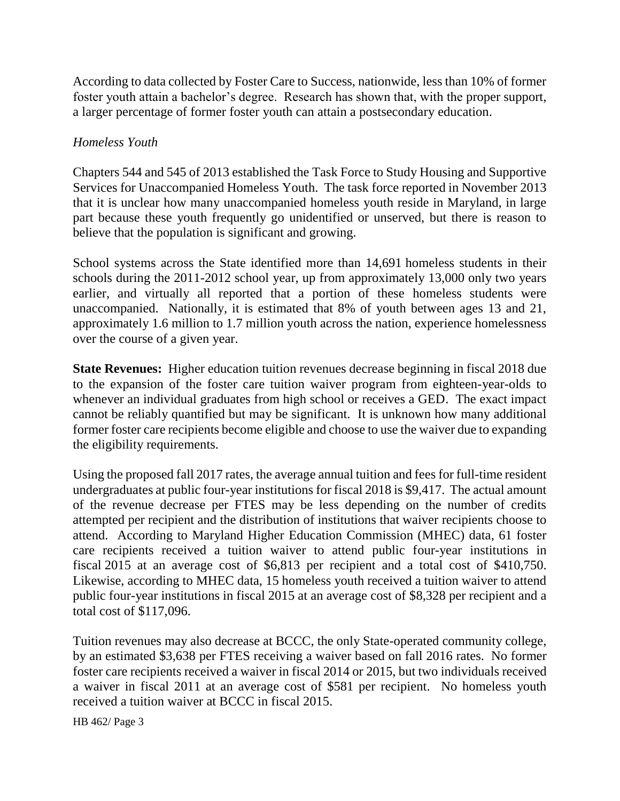According to data collected by Foster Care to Success, nationwide, less than 10% of former foster youth attain a bachelor's degree. Research has shown that, with the proper support, a larger percentage of former foster youth can attain a postsecondary education.

### *Homeless Youth*

Chapters 544 and 545 of 2013 established the Task Force to Study Housing and Supportive Services for Unaccompanied Homeless Youth. The task force reported in November 2013 that it is unclear how many unaccompanied homeless youth reside in Maryland, in large part because these youth frequently go unidentified or unserved, but there is reason to believe that the population is significant and growing.

School systems across the State identified more than 14,691 homeless students in their schools during the 2011-2012 school year, up from approximately 13,000 only two years earlier, and virtually all reported that a portion of these homeless students were unaccompanied. Nationally, it is estimated that 8% of youth between ages 13 and 21, approximately 1.6 million to 1.7 million youth across the nation, experience homelessness over the course of a given year.

**State Revenues:** Higher education tuition revenues decrease beginning in fiscal 2018 due to the expansion of the foster care tuition waiver program from eighteen-year-olds to whenever an individual graduates from high school or receives a GED. The exact impact cannot be reliably quantified but may be significant. It is unknown how many additional former foster care recipients become eligible and choose to use the waiver due to expanding the eligibility requirements.

Using the proposed fall 2017 rates, the average annual tuition and fees for full-time resident undergraduates at public four-year institutions for fiscal 2018 is \$9,417. The actual amount of the revenue decrease per FTES may be less depending on the number of credits attempted per recipient and the distribution of institutions that waiver recipients choose to attend. According to Maryland Higher Education Commission (MHEC) data, 61 foster care recipients received a tuition waiver to attend public four-year institutions in fiscal 2015 at an average cost of \$6,813 per recipient and a total cost of \$410,750. Likewise, according to MHEC data, 15 homeless youth received a tuition waiver to attend public four-year institutions in fiscal 2015 at an average cost of \$8,328 per recipient and a total cost of \$117,096.

Tuition revenues may also decrease at BCCC, the only State-operated community college, by an estimated \$3,638 per FTES receiving a waiver based on fall 2016 rates. No former foster care recipients received a waiver in fiscal 2014 or 2015, but two individuals received a waiver in fiscal 2011 at an average cost of \$581 per recipient. No homeless youth received a tuition waiver at BCCC in fiscal 2015.

HB 462/ Page 3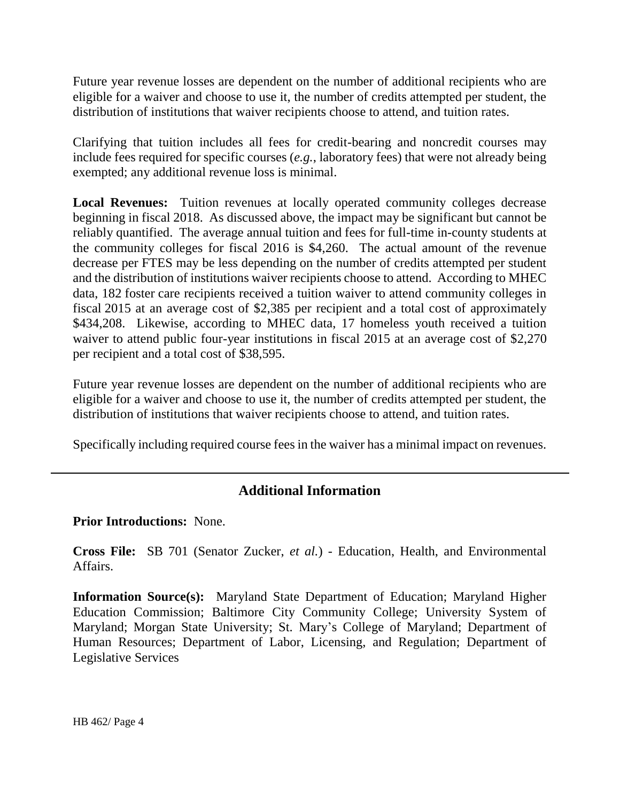Future year revenue losses are dependent on the number of additional recipients who are eligible for a waiver and choose to use it, the number of credits attempted per student, the distribution of institutions that waiver recipients choose to attend, and tuition rates.

Clarifying that tuition includes all fees for credit-bearing and noncredit courses may include fees required for specific courses (*e.g.*, laboratory fees) that were not already being exempted; any additional revenue loss is minimal.

**Local Revenues:** Tuition revenues at locally operated community colleges decrease beginning in fiscal 2018. As discussed above, the impact may be significant but cannot be reliably quantified. The average annual tuition and fees for full-time in-county students at the community colleges for fiscal 2016 is \$4,260. The actual amount of the revenue decrease per FTES may be less depending on the number of credits attempted per student and the distribution of institutions waiver recipients choose to attend. According to MHEC data, 182 foster care recipients received a tuition waiver to attend community colleges in fiscal 2015 at an average cost of \$2,385 per recipient and a total cost of approximately \$434,208. Likewise, according to MHEC data, 17 homeless youth received a tuition waiver to attend public four-year institutions in fiscal 2015 at an average cost of \$2,270 per recipient and a total cost of \$38,595.

Future year revenue losses are dependent on the number of additional recipients who are eligible for a waiver and choose to use it, the number of credits attempted per student, the distribution of institutions that waiver recipients choose to attend, and tuition rates.

Specifically including required course fees in the waiver has a minimal impact on revenues.

## **Additional Information**

**Prior Introductions:** None.

**Cross File:** SB 701 (Senator Zucker, *et al.*) - Education, Health, and Environmental Affairs.

**Information Source(s):** Maryland State Department of Education; Maryland Higher Education Commission; Baltimore City Community College; University System of Maryland; Morgan State University; St. Mary's College of Maryland; Department of Human Resources; Department of Labor, Licensing, and Regulation; Department of Legislative Services